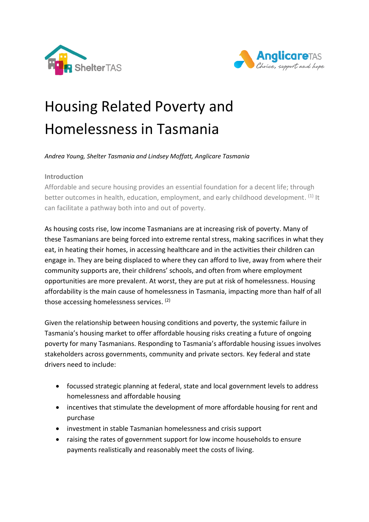



# Housing Related Poverty and Homelessness in Tasmania

*Andrea Young, Shelter Tasmania and Lindsey Moffatt, Anglicare Tasmania*

### **Introduction**

Affordable and secure housing provides an essential foundation for a decent life; through better outcomes in health, education, employment, and early childhood development. (1) It can facilitate a pathway both into and out of poverty.

As housing costs rise, low income Tasmanians are at increasing risk of poverty. Many of these Tasmanians are being forced into extreme rental stress, making sacrifices in what they eat, in heating their homes, in accessing healthcare and in the activities their children can engage in. They are being displaced to where they can afford to live, away from where their community supports are, their childrens' schools, and often from where employment opportunities are more prevalent. At worst, they are put at risk of homelessness. Housing affordability is the main cause of homelessness in Tasmania, impacting more than half of all those accessing homelessness services.<sup>(2)</sup>

Given the relationship between housing conditions and poverty, the systemic failure in Tasmania's housing market to offer affordable housing risks creating a future of ongoing poverty for many Tasmanians. Responding to Tasmania's affordable housing issues involves stakeholders across governments, community and private sectors. Key federal and state drivers need to include:

- focussed strategic planning at federal, state and local government levels to address homelessness and affordable housing
- incentives that stimulate the development of more affordable housing for rent and purchase
- investment in stable Tasmanian homelessness and crisis support
- raising the rates of government support for low income households to ensure payments realistically and reasonably meet the costs of living.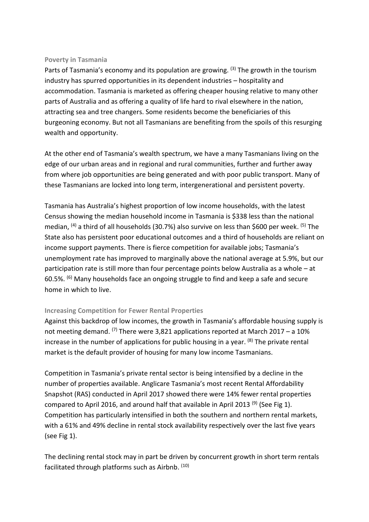#### **Poverty in Tasmania**

Parts of Tasmania's economy and its population are growing. <sup>(3)</sup> The growth in the tourism industry has spurred opportunities in its dependent industries – hospitality and accommodation. Tasmania is marketed as offering cheaper housing relative to many other parts of Australia and as offering a quality of life hard to rival elsewhere in the nation, attracting sea and tree changers. Some residents become the beneficiaries of this burgeoning economy. But not all Tasmanians are benefiting from the spoils of this resurging wealth and opportunity.

At the other end of Tasmania's wealth spectrum, we have a many Tasmanians living on the edge of our urban areas and in regional and rural communities, further and further away from where job opportunities are being generated and with poor public transport. Many of these Tasmanians are locked into long term, intergenerational and persistent poverty.

Tasmania has Australia's highest proportion of low income households, with the latest Census showing the median household income in Tasmania is \$338 less than the national median, <sup>(4)</sup> a third of all households (30.7%) also survive on less than \$600 per week. <sup>(5)</sup> The State also has persistent poor educational outcomes and a third of households are reliant on income support payments. There is fierce competition for available jobs; Tasmania's unemployment rate has improved to marginally above the national average at 5.9%, but our participation rate is still more than four percentage points below Australia as a whole – at 60.5%. (6) Many households face an ongoing struggle to find and keep a safe and secure home in which to live.

#### **Increasing Competition for Fewer Rental Properties**

Against this backdrop of low incomes, the growth in Tasmania's affordable housing supply is not meeting demand. <sup>(7)</sup> There were 3,821 applications reported at March 2017 – a 10% increase in the number of applications for public housing in a year. <sup>(8)</sup> The private rental market is the default provider of housing for many low income Tasmanians.

Competition in Tasmania's private rental sector is being intensified by a decline in the number of properties available. Anglicare Tasmania's most recent Rental Affordability Snapshot (RAS) conducted in April 2017 showed there were 14% fewer rental properties compared to April 2016, and around half that available in April 2013<sup>(9)</sup> (See Fig 1). Competition has particularly intensified in both the southern and northern rental markets, with a 61% and 49% decline in rental stock availability respectively over the last five years (see Fig 1).

The declining rental stock may in part be driven by concurrent growth in short term rentals facilitated through platforms such as Airbnb. (10)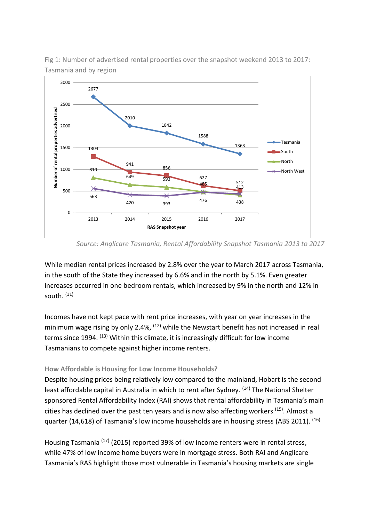

Fig 1: Number of advertised rental properties over the snapshot weekend 2013 to 2017: Tasmania and by region

While median rental prices increased by 2.8% over the year to March 2017 across Tasmania, in the south of the State they increased by 6.6% and in the north by 5.1%. Even greater increases occurred in one bedroom rentals, which increased by 9% in the north and 12% in south. (11)

Incomes have not kept pace with rent price increases, with year on year increases in the minimum wage rising by only 2.4%, <sup>(12)</sup> while the Newstart benefit has not increased in real terms since 1994. <sup>(13)</sup> Within this climate, it is increasingly difficult for low income Tasmanians to compete against higher income renters.

#### **How Affordable is Housing for Low Income Households?**

Despite housing prices being relatively low compared to the mainland, Hobart is the second least affordable capital in Australia in which to rent after Sydney. <sup>(14)</sup> The National Shelter sponsored Rental Affordability Index (RAI) shows that rental affordability in Tasmania's main cities has declined over the past ten years and is now also affecting workers <sup>(15)</sup>. Almost a quarter (14,618) of Tasmania's low income households are in housing stress (ABS 2011). <sup>(16)</sup>

Housing Tasmania<sup> (17)</sup> (2015) reported 39% of low income renters were in rental stress, while 47% of low income home buyers were in mortgage stress. Both RAI and Anglicare Tasmania's RAS highlight those most vulnerable in Tasmania's housing markets are single

*Source: Anglicare Tasmania, Rental Affordability Snapshot Tasmania 2013 to 2017*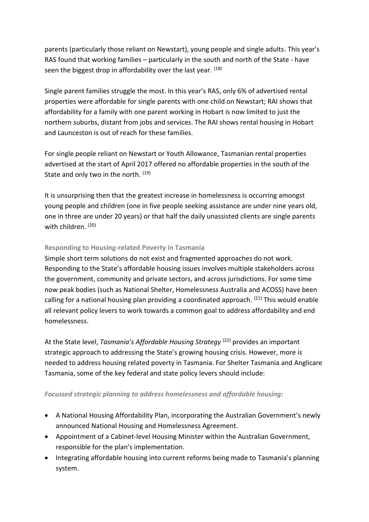parents (particularly those reliant on Newstart), young people and single adults. This year's RAS found that working families – particularly in the south and north of the State - have seen the biggest drop in affordability over the last year. <sup>(18)</sup>

Single parent families struggle the most. In this year's RAS, only 6% of advertised rental properties were affordable for single parents with one child on Newstart; RAI shows that affordability for a family with one parent working in Hobart is now limited to just the northern suburbs, distant from jobs and services. The RAI shows rental housing in Hobart and Launceston is out of reach for these families.

For single people reliant on Newstart or Youth Allowance, Tasmanian rental properties advertised at the start of April 2017 offered no affordable properties in the south of the State and only two in the north. (19)

It is unsurprising then that the greatest increase in homelessness is occurring amongst young people and children (one in five people seeking assistance are under nine years old, one in three are under 20 years) or that half the daily unassisted clients are single parents with children. (20)

# **Responding to Housing-related Poverty in Tasmania**

Simple short term solutions do not exist and fragmented approaches do not work. Responding to the State's affordable housing issues involves multiple stakeholders across the government, community and private sectors, and across jurisdictions. For some time now peak bodies (such as National Shelter, Homelessness Australia and ACOSS) have been calling for a national housing plan providing a coordinated approach. <sup>(21)</sup> This would enable all relevant policy levers to work towards a common goal to address affordability and end homelessness.

At the State level, *Tasmania's Affordable Housing Strategy* <sup>(22)</sup> provides an important strategic approach to addressing the State's growing housing crisis. However, more is needed to address housing related poverty in Tasmania. For Shelter Tasmania and Anglicare Tasmania, some of the key federal and state policy levers should include:

# *Focussed strategic planning to address homelessness and affordable housing:*

- A National Housing Affordability Plan, incorporating the Australian Government's newly announced National Housing and Homelessness Agreement*.*
- Appointment of a Cabinet-level Housing Minister within the Australian Government, responsible for the plan's implementation.
- Integrating affordable housing into current reforms being made to Tasmania's planning system.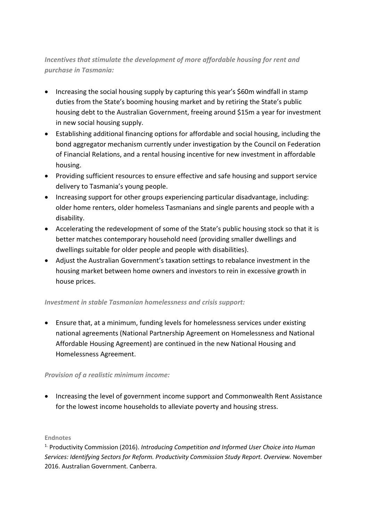# *Incentives that stimulate the development of more affordable housing for rent and purchase in Tasmania:*

- Increasing the social housing supply by capturing this year's \$60m windfall in stamp duties from the State's booming housing market and by retiring the State's public housing debt to the Australian Government, freeing around \$15m a year for investment in new social housing supply.
- Establishing additional financing options for affordable and social housing, including the bond aggregator mechanism currently under investigation by the Council on Federation of Financial Relations, and a rental housing incentive for new investment in affordable housing.
- Providing sufficient resources to ensure effective and safe housing and support service delivery to Tasmania's young people.
- Increasing support for other groups experiencing particular disadvantage, including: older home renters, older homeless Tasmanians and single parents and people with a disability.
- Accelerating the redevelopment of some of the State's public housing stock so that it is better matches contemporary household need (providing smaller dwellings and dwellings suitable for older people and people with disabilities).
- Adjust the Australian Government's taxation settings to rebalance investment in the housing market between home owners and investors to rein in excessive growth in house prices.

# *Investment in stable Tasmanian homelessness and crisis support:*

 Ensure that, at a minimum, funding levels for homelessness services under existing national agreements (National Partnership Agreement on Homelessness and National Affordable Housing Agreement) are continued in the new National Housing and Homelessness Agreement.

# *Provision of a realistic minimum income:*

• Increasing the level of government income support and Commonwealth Rent Assistance for the lowest income households to alleviate poverty and housing stress.

#### **Endnotes**

1. Productivity Commission (2016). *Introducing Competition and Informed User Choice into Human Services: Identifying Sectors for Reform. Productivity Commission Study Report. Overview.* November 2016. Australian Government. Canberra.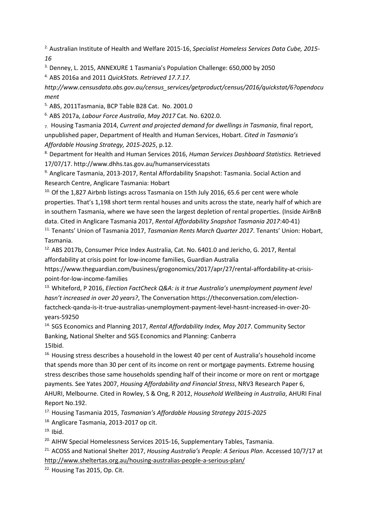2. Australian Institute of Health and Welfare 2015-16, *Specialist Homeless Services Data Cube, 2015- 16*

3. Denney, L. 2015, ANNEXURE 1 Tasmania's Population Challenge: 650,000 by 2050

4. ABS 2016a and 2011 *QuickStats. Retrieved 17.7.17.* 

*http://www.censusdata.abs.gov.au/census\_services/getproduct/census/2016/quickstat/6?opendocu ment* 

5. ABS, 2011Tasmania, BCP Table B28 Cat. No. 2001.0

6. ABS 2017a, *Labour Force Australia*, *May 2017* Cat. No. 6202.0.

7. Housing Tasmania 2014, *Current and projected demand for dwellings in Tasmania*, final report, unpublished paper, Department of Health and Human Services, Hobart. *Cited in Tasmania's Affordable Housing Strategy, 2015-2025*, p.12.

8. Department for Health and Human Services 2016, *Human Services Dashboard Statistics.* Retrieved 17/07/17. http://www.dhhs.tas.gov.au/humanservicesstats

9. Anglicare Tasmania, 2013-2017, Rental Affordability Snapshot: Tasmania. Social Action and Research Centre, Anglicare Tasmania: Hobart

<sup>10.</sup> Of the 1,827 Airbnb listings across Tasmania on 15th July 2016, 65.6 per cent were whole properties. That's 1,198 short term rental houses and units across the state, nearly half of which are in southern Tasmania, where we have seen the largest depletion of rental properties. (Inside AirBnB data. Cited in Anglicare Tasmania 2017, *Rental Affordability Snapshot Tasmania 2017*:40-41)

11. Tenants' Union of Tasmania 2017, *Tasmanian Rents March Quarter 2017*. Tenants' Union: Hobart, Tasmania.

<sup>12.</sup> ABS 2017b, Consumer Price Index Australia, Cat. No. 6401.0 and Jericho, G. 2017, Rental affordability at crisis point for low-income families, Guardian Australia

https://www.theguardian.com/business/grogonomics/2017/apr/27/rental-affordability-at-crisispoint-for-low-income-families

<sup>13.</sup> Whiteford, P 2016, *Election FactCheck Q&A: is it true Australia's unemployment payment level hasn't increased in over 20 years?*, The Conversation https://theconversation.com/electionfactcheck-qanda-is-it-true-australias-unemployment-payment-level-hasnt-increased-in-over-20 years-59250

14. SGS Economics and Planning 2017, *Rental Affordability Index, May 2017*. Community Sector Banking, National Shelter and SGS Economics and Planning: Canberra 15Ibid.

<sup>16.</sup> Housing stress describes a household in the lowest 40 per cent of Australia's household income that spends more than 30 per cent of its income on rent or mortgage payments. Extreme housing stress describes those same households spending half of their income or more on rent or mortgage payments. See Yates 2007, *Housing Affordability and Financial Stress*, NRV3 Research Paper 6, AHURI, Melbourne. Cited in Rowley, S & Ong, R 2012, *Household Wellbeing in Australia*, AHURI Final Report No.192.

17. Housing Tasmania 2015, *Tasmanian's Affordable Housing Strategy 2015-2025*

18. Anglicare Tasmania, 2013-2017 op cit.

 $19.$  Ibid.

<sup>20.</sup> AIHW Special Homelessness Services 2015-16, Supplementary Tables, Tasmania.

21. ACOSS and National Shelter 2017, *Housing Australia's People: A Serious Plan*. Accessed 10/7/17 at <http://www.sheltertas.org.au/housing-australias-people-a-serious-plan/>

<sup>22.</sup> Housing Tas 2015, Op. Cit.